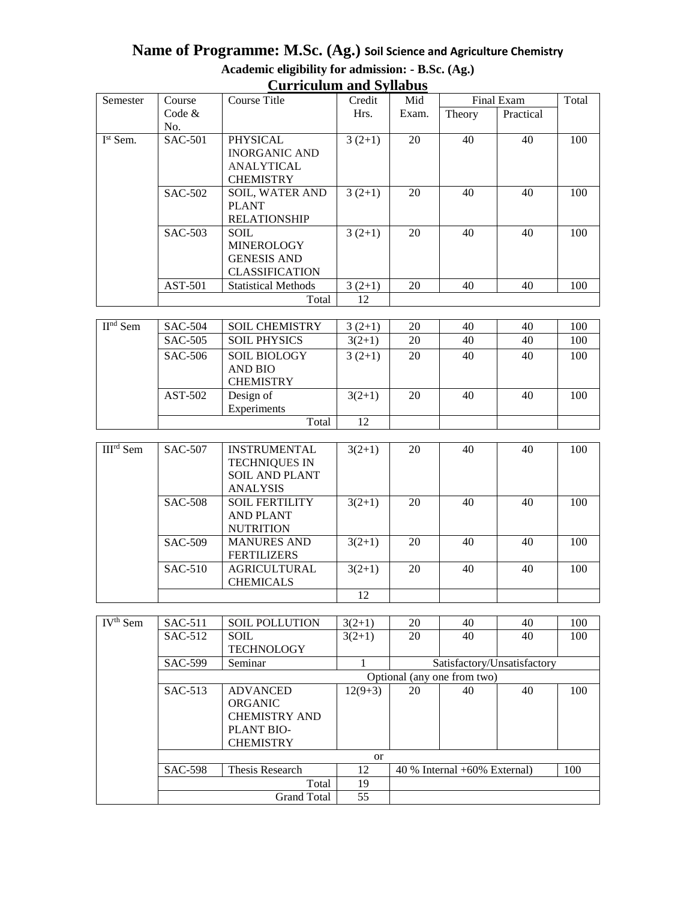#### **Name of Programme: M.Sc. (Ag.) Soil Science and Agriculture Chemistry Academic eligibility for admission: - B.Sc. (Ag.) Curriculum and Syllabus**

| Curriculum and Synabus |                |                            |          |       |            |           |       |
|------------------------|----------------|----------------------------|----------|-------|------------|-----------|-------|
| Semester               | Course         | Course Title               | Credit   | Mid   | Final Exam |           | Total |
|                        | Code $&$       |                            | Hrs.     | Exam. | Theory     | Practical |       |
|                        | No.            |                            |          |       |            |           |       |
| $Ist$ Sem.             | <b>SAC-501</b> | <b>PHYSICAL</b>            | $3(2+1)$ | 20    | 40         | 40        | 100   |
|                        |                | <b>INORGANIC AND</b>       |          |       |            |           |       |
|                        |                | <b>ANALYTICAL</b>          |          |       |            |           |       |
|                        |                | <b>CHEMISTRY</b>           |          |       |            |           |       |
|                        | <b>SAC-502</b> | <b>SOIL, WATER AND</b>     | $3(2+1)$ | 20    | 40         | 40        | 100   |
|                        |                | <b>PLANT</b>               |          |       |            |           |       |
|                        |                | <b>RELATIONSHIP</b>        |          |       |            |           |       |
|                        | SAC-503        | <b>SOIL</b>                | $3(2+1)$ | 20    | 40         | 40        | 100   |
|                        |                | <b>MINEROLOGY</b>          |          |       |            |           |       |
|                        |                | <b>GENESIS AND</b>         |          |       |            |           |       |
|                        |                | <b>CLASSIFICATION</b>      |          |       |            |           |       |
|                        | AST-501        | <b>Statistical Methods</b> | $3(2+1)$ | 20    | 40         | 40        | 100   |
|                        |                | Total                      | 12       |       |            |           |       |

| $\mathbf{H}^{\mathrm{nd}}$ Sem | <b>SAC-504</b> | <b>SOIL CHEMISTRY</b> | $3(2+1)$ | 20 | 40 | 40 | 100 |
|--------------------------------|----------------|-----------------------|----------|----|----|----|-----|
|                                | SAC-505        | <b>SOIL PHYSICS</b>   | $3(2+1)$ | 20 | 40 | 40 | 100 |
|                                | SAC-506        | <b>SOIL BIOLOGY</b>   | $3(2+1)$ | 20 | 40 | 40 | 100 |
|                                |                | <b>AND BIO</b>        |          |    |    |    |     |
|                                |                | <b>CHEMISTRY</b>      |          |    |    |    |     |
|                                | AST-502        | Design of             | $3(2+1)$ | 20 | 40 | 40 | 100 |
|                                |                | Experiments           |          |    |    |    |     |
|                                |                | Total                 | 12       |    |    |    |     |
|                                |                |                       |          |    |    |    |     |
| III™ Sem                       | <b>SAC-507</b> | <b>INSTRUMENTAL</b>   | $3(2+1)$ | 20 | 40 | 40 | 100 |

| $IIIrd$ Sem | <b>SAC-507</b> | <b>INSTRUMENTAL</b>   | $3(2+1)$ | 20 | 40 | 40 | 100 |
|-------------|----------------|-----------------------|----------|----|----|----|-----|
|             |                | <b>TECHNIQUES IN</b>  |          |    |    |    |     |
|             |                | <b>SOIL AND PLANT</b> |          |    |    |    |     |
|             |                | <b>ANALYSIS</b>       |          |    |    |    |     |
|             | <b>SAC-508</b> | <b>SOIL FERTILITY</b> | $3(2+1)$ | 20 | 40 | 40 | 100 |
|             |                | <b>AND PLANT</b>      |          |    |    |    |     |
|             |                | <b>NUTRITION</b>      |          |    |    |    |     |
|             | <b>SAC-509</b> | <b>MANURES AND</b>    | $3(2+1)$ | 20 | 40 | 40 | 100 |
|             |                | <b>FERTILIZERS</b>    |          |    |    |    |     |
|             | $SAC-510$      | AGRICULTURAL          | $3(2+1)$ | 20 | 40 | 40 | 100 |
|             |                | <b>CHEMICALS</b>      |          |    |    |    |     |
|             |                |                       | 12       |    |    |    |     |

| $\overline{IV}$ <sup>th</sup> Sem | $SAC-511$                   | <b>SOIL POLLUTION</b> | $3(2+1)$  | 20 | 40                                | 40                          | 100 |
|-----------------------------------|-----------------------------|-----------------------|-----------|----|-----------------------------------|-----------------------------|-----|
|                                   | $SAC-512$                   | <b>SOIL</b>           | $3(2+1)$  | 20 | 40                                | 40                          | 100 |
|                                   |                             | <b>TECHNOLOGY</b>     |           |    |                                   |                             |     |
|                                   | <b>SAC-599</b>              | Seminar               |           |    |                                   | Satisfactory/Unsatisfactory |     |
|                                   | Optional (any one from two) |                       |           |    |                                   |                             |     |
|                                   | SAC-513                     | <b>ADVANCED</b>       | $12(9+3)$ | 20 | 40                                | 40                          | 100 |
|                                   |                             | <b>ORGANIC</b>        |           |    |                                   |                             |     |
|                                   |                             | <b>CHEMISTRY AND</b>  |           |    |                                   |                             |     |
|                                   |                             | PLANT BIO-            |           |    |                                   |                             |     |
|                                   |                             | <b>CHEMISTRY</b>      |           |    |                                   |                             |     |
| <sub>or</sub>                     |                             |                       |           |    |                                   |                             |     |
|                                   | <b>SAC-598</b>              | Thesis Research       | 12        |    | $40\%$ Internal $+60\%$ External) |                             | 100 |
|                                   |                             | Total                 | 19        |    |                                   |                             |     |
|                                   |                             | <b>Grand Total</b>    | 55        |    |                                   |                             |     |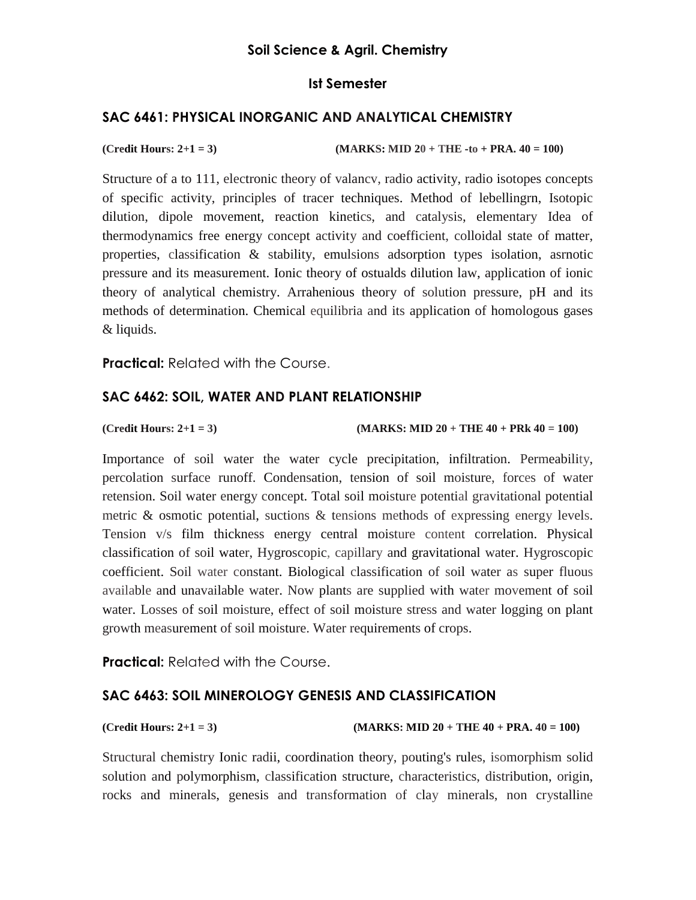## **Ist Semester**

# **SAC 6461: PHYSICAL INORGANIC AND ANALYTICAL CHEMISTRY**

**(Credit Hours: 2+1 = 3) (MARKS: MID 20 + THE -to + PRA. 40 = 100)** 

Structure of a to 111, electronic theory of valancv, radio activity, radio isotopes concepts of specific activity, principles of tracer techniques. Method of lebellingrn, Isotopic dilution, dipole movement, reaction kinetics, and catalysis, elementary Idea of thermodynamics free energy concept activity and coefficient, colloidal state of matter, properties, classification & stability, emulsions adsorption types isolation, asrnotic pressure and its measurement. Ionic theory of ostualds dilution law, application of ionic theory of analytical chemistry. Arrahenious theory of solution pressure, pH and its methods of determination. Chemical equilibria and its application of homologous gases & liquids.

**Practical:** Related with the Course.

#### **SAC 6462: SOIL, WATER AND PLANT RELATIONSHIP**

**(Credit Hours: 2+1 = 3) (MARKS: MID 20 + THE 40 + PRk 40 = 100)** 

Importance of soil water the water cycle precipitation, infiltration. Permeability, percolation surface runoff. Condensation, tension of soil moisture, forces of water retension. Soil water energy concept. Total soil moisture potential gravitational potential metric & osmotic potential, suctions & tensions methods of expressing energy levels. Tension v/s film thickness energy central moisture content correlation. Physical classification of soil water, Hygroscopic, capillary and gravitational water. Hygroscopic coefficient. Soil water constant. Biological classification of soil water as super fluous available and unavailable water. Now plants are supplied with water movement of soil water. Losses of soil moisture, effect of soil moisture stress and water logging on plant growth measurement of soil moisture. Water requirements of crops.

**Practical:** Related with the Course.

#### **SAC 6463: SOIL MINEROLOGY GENESIS AND CLASSIFICATION**

**(Credit Hours: 2+1 = 3) (MARKS: MID 20 + THE 40 + PRA. 40 = 100)** 

Structural chemistry Ionic radii, coordination theory, pouting's rules, isomorphism solid solution and polymorphism, classification structure, characteristics, distribution, origin, rocks and minerals, genesis and transformation of clay minerals, non crystalline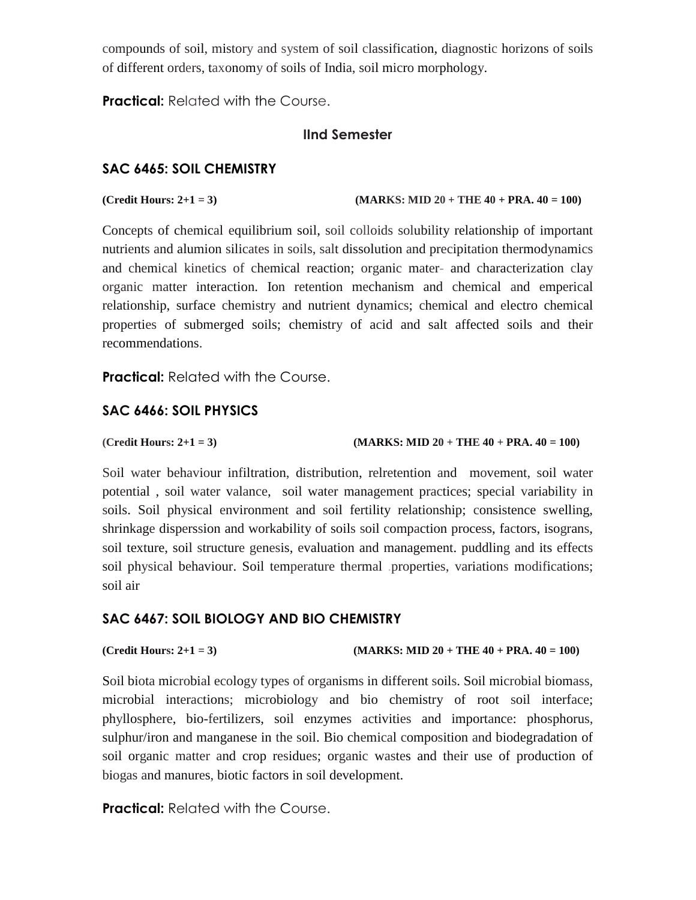compounds of soil, mistory and system of soil classification, diagnostic horizons of soils of different orders, taxonomy of soils of India, soil micro morphology.

**Practical:** Related with the Course.

# **IInd Semester**

# **SAC 6465: SOIL CHEMISTRY**

 $($ Credit Hours:  $2+1 = 3)$   $(MARKS: MID 20 + THE 40 + PRA. 40 = 100)$ 

Concepts of chemical equilibrium soil, soil colloids solubility relationship of important nutrients and alumion silicates in soils, salt dissolution and precipitation thermodynamics and chemical kinetics of chemical reaction; organic mater- and characterization clay organic matter interaction. Ion retention mechanism and chemical and emperical relationship, surface chemistry and nutrient dynamics; chemical and electro chemical properties of submerged soils; chemistry of acid and salt affected soils and their recommendations.

**Practical:** Related with the Course.

# **SAC 6466: SOIL PHYSICS**

**(Credit Hours: 2+1 = 3) (MARKS: MID 20 + THE 40 + PRA. 40 = 100)** 

Soil water behaviour infiltration, distribution, relretention and movement, soil water potential , soil water valance, soil water management practices; special variability in soils. Soil physical environment and soil fertility relationship; consistence swelling, shrinkage disperssion and workability of soils soil compaction process, factors, isograns, soil texture, soil structure genesis, evaluation and management. puddling and its effects soil physical behaviour. Soil temperature thermal .properties, variations modifications; soil air

# **SAC 6467: SOIL BIOLOGY AND BIO CHEMISTRY**

```
(Credit Hours: 2+1 = 3) (MARKS: MID 20 + THE 40 + PRA. 40 = 100)
```
Soil biota microbial ecology types of organisms in different soils. Soil microbial biomass, microbial interactions; microbiology and bio chemistry of root soil interface; phyllosphere, bio-fertilizers, soil enzymes activities and importance: phosphorus, sulphur/iron and manganese in the soil. Bio chemical composition and biodegradation of soil organic matter and crop residues; organic wastes and their use of production of biogas and manures, biotic factors in soil development.

**Practical:** Related with the Course.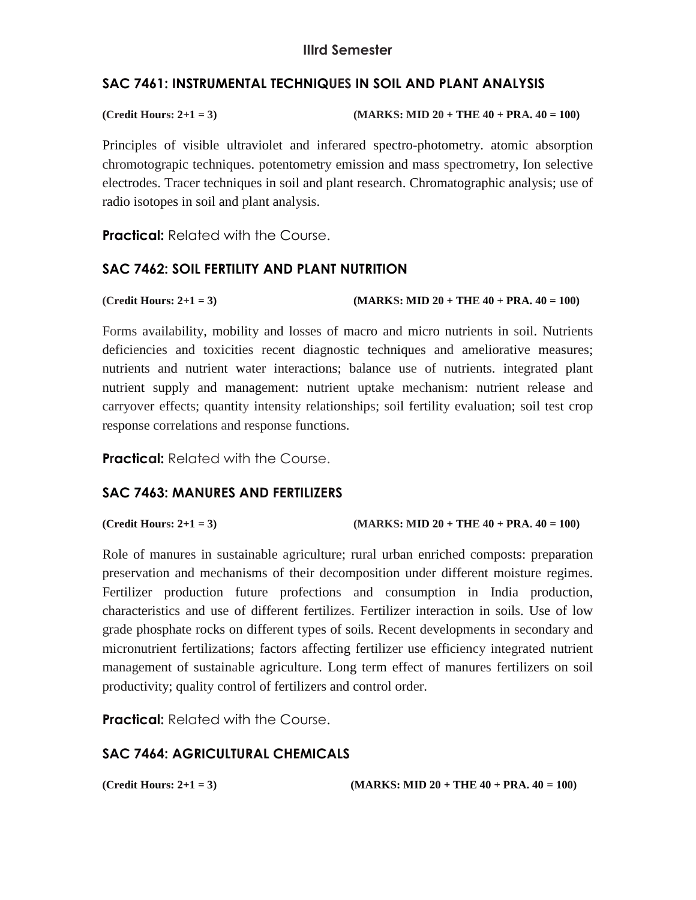# **SAC 7461: INSTRUMENTAL TECHNIQUES IN SOIL AND PLANT ANALYSIS**

| (Credit Hours: $2+1=3$ ) | $(MARKS: MID 20 + THE 40 + PRA, 40 = 100)$ |
|--------------------------|--------------------------------------------|
|                          |                                            |

Principles of visible ultraviolet and inferared spectro-photometry. atomic absorption chromotograpic techniques. potentometry emission and mass spectrometry, Ion selective electrodes. Tracer techniques in soil and plant research. Chromatographic analysis; use of radio isotopes in soil and plant analysis.

**Practical:** Related with the Course.

#### **SAC 7462: SOIL FERTILITY AND PLANT NUTRITION**

**(Credit Hours: 2+1 = 3) (MARKS: MID 20 + THE 40 + PRA. 40 = 100)** 

Forms availability, mobility and losses of macro and micro nutrients in soil. Nutrients deficiencies and toxicities recent diagnostic techniques and ameliorative measures; nutrients and nutrient water interactions; balance use of nutrients. integrated plant nutrient supply and management: nutrient uptake mechanism: nutrient release and carryover effects; quantity intensity relationships; soil fertility evaluation; soil test crop response correlations and response functions.

**Practical:** Related with the Course.

# **SAC 7463: MANURES AND FERTILIZERS**

```
(Credit Hours: 2+1 = 3) (MARKS: MID 20 + THE 40 + PRA. 40 = 100)
```
Role of manures in sustainable agriculture; rural urban enriched composts: preparation preservation and mechanisms of their decomposition under different moisture regimes. Fertilizer production future profections and consumption in India production, characteristics and use of different fertilizes. Fertilizer interaction in soils. Use of low grade phosphate rocks on different types of soils. Recent developments in secondary and micronutrient fertilizations; factors affecting fertilizer use efficiency integrated nutrient management of sustainable agriculture. Long term effect of manures fertilizers on soil productivity; quality control of fertilizers and control order.

**Practical:** Related with the Course.

# **SAC 7464: AGRICULTURAL CHEMICALS**

**(Credit Hours: 2+1 = 3) (MARKS: MID 20 + THE 40 + PRA. 40 = 100)**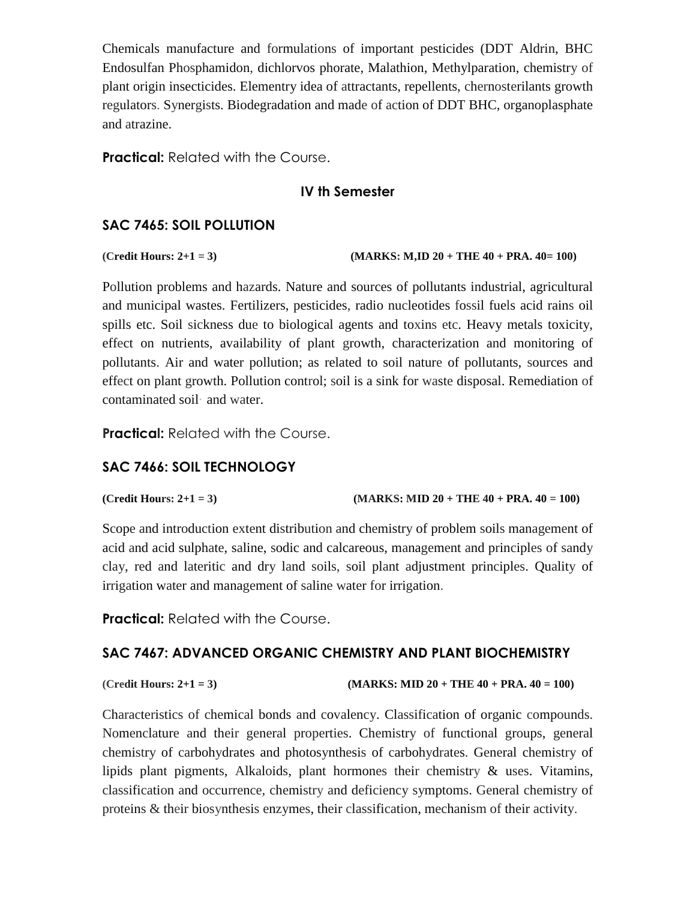Chemicals manufacture and formulations of important pesticides (DDT Aldrin, BHC Endosulfan Phosphamidon, dichlorvos phorate, Malathion, Methylparation, chemistry of plant origin insecticides. Elementry idea of attractants, repellents, chernosterilants growth regulators. Synergists. Biodegradation and made of action of DDT BHC, organoplasphate and atrazine.

**Practical:** Related with the Course.

#### **IV th Semester**

# **SAC 7465: SOIL POLLUTION**

**(Credit Hours: 2+1 = 3) (MARKS: M,ID 20 + THE 40 + PRA. 40= 100)** 

Pollution problems and hazards. Nature and sources of pollutants industrial, agricultural and municipal wastes. Fertilizers, pesticides, radio nucleotides fossil fuels acid rains oil spills etc. Soil sickness due to biological agents and toxins etc. Heavy metals toxicity, effect on nutrients, availability of plant growth, characterization and monitoring of pollutants. Air and water pollution; as related to soil nature of pollutants, sources and effect on plant growth. Pollution control; soil is a sink for waste disposal. Remediation of contaminated soil· and water.

**Practical:** Related with the Course.

# **SAC 7466: SOIL TECHNOLOGY**

**(Credit Hours: 2+1 = 3) (MARKS: MID 20 + THE 40 + PRA. 40 = 100)** 

Scope and introduction extent distribution and chemistry of problem soils management of acid and acid sulphate, saline, sodic and calcareous, management and principles of sandy clay, red and lateritic and dry land soils, soil plant adjustment principles. Quality of irrigation water and management of saline water for irrigation.

**Practical: Related with the Course.** 

# **SAC 7467: ADVANCED ORGANIC CHEMISTRY AND PLANT BIOCHEMISTRY**

**(Credit Hours: 2+1 = 3) (MARKS: MID 20 + THE 40 + PRA. 40 = 100)** 

Characteristics of chemical bonds and covalency. Classification of organic compounds. Nomenclature and their general properties. Chemistry of functional groups, general chemistry of carbohydrates and photosynthesis of carbohydrates. General chemistry of lipids plant pigments, Alkaloids, plant hormones their chemistry & uses. Vitamins, classification and occurrence, chemistry and deficiency symptoms. General chemistry of proteins & their biosynthesis enzymes, their classification, mechanism of their activity.